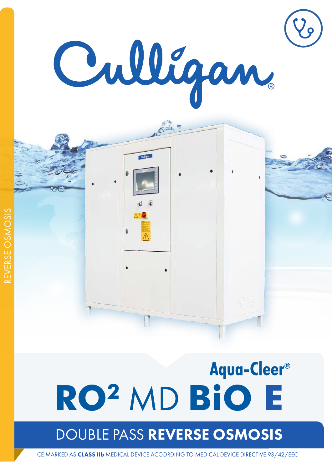



# Aqua-Cleer® **RO2** MD **BiO E**

## DOUBLE PASS REVERSE OSMOSIS

CE MARKED AS CLASS IIb MEDICAL DEVICE ACCORDING TO MEDICAL DEVICE DIRECTIVE 93/42/EEC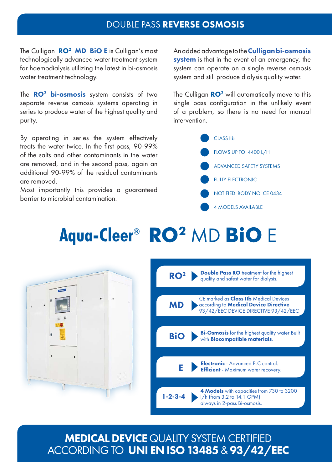### DOUBLE PASS REVERSE OSMOSIS

The Culligan  $RO^2$  MD BIO E is Culligan's most technologically advanced water treatment system for haemodialysis utilizing the latest in bi-osmosis water treatment technology.

The  $\mathbb{R}^2$  bi-osmosis system consists of two separate reverse osmosis systems operating in series to produce water of the highest quality and purity.

By operating in series the system effectively treats the water twice. In the first pass, 90-99% of the salts and other contaminants in the water are removed, and in the second pass, again an additional 90-99% of the residual contaminants are removed.

Most importantly this provides a guaranteed barrier to microbial contamination.

An added advantage to the **Culligan bi-osmosis system** is that in the event of an emergency, the system can operate on a single reverse osmosis system and still produce dialysis quality water.

The Culligan  $RO<sup>2</sup>$  will automatically move to this single pass configuration in the unlikely event of a problem, so there is no need for manual intervention.



# **Aqua-Cleer® RO2** MD **BiO** E





### MEDICAL DEVICE QUALITY SYSTEM CERTIFIED ACCORDING TO UNI EN ISO 13485 & 93/42/EEC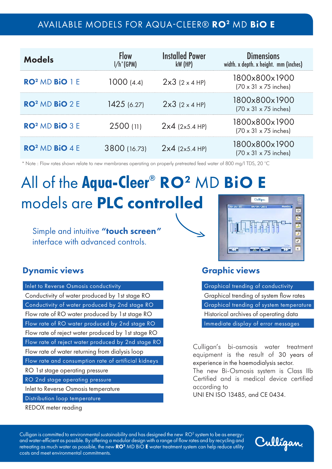### AVAILABLE MODELS FOR AQUA-CLEER® RO2 MD BiO E

| <b>Models</b>                     | <b>Flow</b><br>$I/h^*(GPM)$ | <b>Installed Power</b><br>$kW$ (HP) | <b>Dimensions</b><br>width. x depth. x height. mm (inches) |
|-----------------------------------|-----------------------------|-------------------------------------|------------------------------------------------------------|
| $RO2 MD BIO 1 E$                  | 1000(4.4)                   | $2x3$ (2 x 4 HP)                    | 1800x800x1900<br>$(70 \times 31 \times 75)$ inches)        |
| RO <sup>2</sup> MD <b>BiO</b> 2 E | 1425(6.27)                  | $2x3$ (2 x 4 HP)                    | 1800x800x1900<br>$(70 \times 31 \times 75$ inches)         |
| RO <sup>2</sup> MD <b>BIO</b> 3 E | 2500 (11)                   | $2x4$ (2x5.4 HP)                    | 1800x800x1900<br>$(70 \times 31 \times 75$ inches)         |
| RO <sup>2</sup> MD <b>BiO</b> 4 E | 3800 (16.73)                | $2x4$ (2x5.4 HP)                    | 1800x800x1900<br>$(70 \times 31 \times 75$ inches)         |

\* Note : Flow rates shown relate to new membranes operating on properly pretreated feed water of 800 mg/l TDS, 20 °C

### All of the **Aqua-Cleer<sup>®</sup> RO<sup>2</sup> MD BiO** models are PLC controlled Cullfaan

Simple and intuitive "touch screen" interface with advanced controls.

### Dynamic views and the Computer of Craphic views

Inlet to Reverse Osmosis conductivity Conductivity of water produced by 1st stage RO Conductivity of water produced by 2nd stage RO Flow rate of RO water produced by 1st stage RO Flow rate of RO water produced by 2nd stage RO Flow rate of reject water produced by 1st stage RO Flow rate of reject water produced by 2nd stage RO Flow rate of water returning from dialysis loop Flow rate and consumption rate of artificial kidneys RO 1st stage operating pressure RO 2nd stage operating pressure Inlet to Reverse Osmosis temperature Distribution loop temperature

REDOX meter reading

Graphical trending of conductivity Graphical trending of system flow rates Graphical trending of system temperature Historical archives of operating data Immediate display of error messages

 $\Theta$  $\overline{\mathbf{S}}$  $\overline{c}$ H  $\overline{g}$ 

Culligan's bi-osmosis water treatment equipment is the result of 30 years of experience in the haemodialysis sector.

The new Bi-Osmosis system is Class IIb Certified and is medical device certified according to

UNI EN ISO 13485, and CE 0434.

Culligan is committed to environmental sustainability and has designed the new  $\rm~RO^2$  system to be as energyand water-efficient as possible. By offering a modular design with a range of flow rates and by recycling and retreating as much water as possible, the new  $RO<sup>2</sup>$  MD BiO **E** water treatment system can help reduce utility costs and meet environmental commitments.